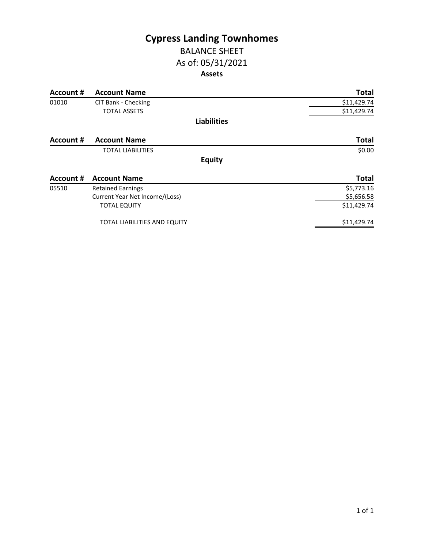# **Cypress Landing Townhomes**

#### BALANCE SHEET As of: 05/31/2021 **Assets**

| <b>Account #</b> | <b>Account Name</b>            | <b>Total</b> |
|------------------|--------------------------------|--------------|
| 01010            | CIT Bank - Checking            | \$11,429.74  |
|                  | <b>TOTAL ASSETS</b>            | \$11,429.74  |
|                  | <b>Liabilities</b>             |              |
| Account #        | <b>Account Name</b>            | <b>Total</b> |
|                  | <b>TOTAL LIABILITIES</b>       | \$0.00       |
|                  | <b>Equity</b>                  |              |
| Account #        | <b>Account Name</b>            | <b>Total</b> |
| 05510            | <b>Retained Earnings</b>       | \$5,773.16   |
|                  | Current Year Net Income/(Loss) | \$5,656.58   |
|                  | <b>TOTAL EQUITY</b>            | \$11,429.74  |
|                  | TOTAL LIABILITIES AND EQUITY   | \$11,429.74  |